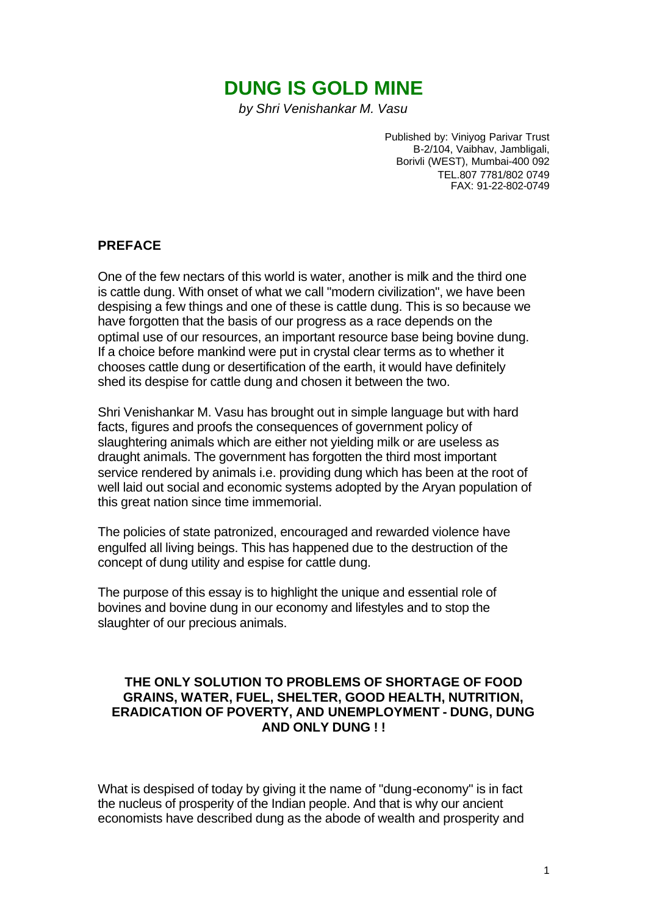# **DUNG IS GOLD MINE**

*by Shri Venishankar M. Vasu*

Published by: Viniyog Parivar Trust B-2/104, Vaibhav, Jambligali, Borivli (WEST), Mumbai-400 092 TEL.807 7781/802 0749 FAX: 91-22-802-0749

#### **PREFACE**

One of the few nectars of this world is water, another is milk and the third one is cattle dung. With onset of what we call "modern civilization", we have been despising a few things and one of these is cattle dung. This is so because we have forgotten that the basis of our progress as a race depends on the optimal use of our resources, an important resource base being bovine dung. If a choice before mankind were put in crystal clear terms as to whether it chooses cattle dung or desertification of the earth, it would have definitely shed its despise for cattle dung and chosen it between the two.

Shri Venishankar M. Vasu has brought out in simple language but with hard facts, figures and proofs the consequences of government policy of slaughtering animals which are either not yielding milk or are useless as draught animals. The government has forgotten the third most important service rendered by animals i.e. providing dung which has been at the root of well laid out social and economic systems adopted by the Aryan population of this great nation since time immemorial.

The policies of state patronized, encouraged and rewarded violence have engulfed all living beings. This has happened due to the destruction of the concept of dung utility and espise for cattle dung.

The purpose of this essay is to highlight the unique and essential role of bovines and bovine dung in our economy and lifestyles and to stop the slaughter of our precious animals.

#### **THE ONLY SOLUTION TO PROBLEMS OF SHORTAGE OF FOOD GRAINS, WATER, FUEL, SHELTER, GOOD HEALTH, NUTRITION, ERADICATION OF POVERTY, AND UNEMPLOYMENT - DUNG, DUNG AND ONLY DUNG ! !**

What is despised of today by giving it the name of "dung-economy" is in fact the nucleus of prosperity of the Indian people. And that is why our ancient economists have described dung as the abode of wealth and prosperity and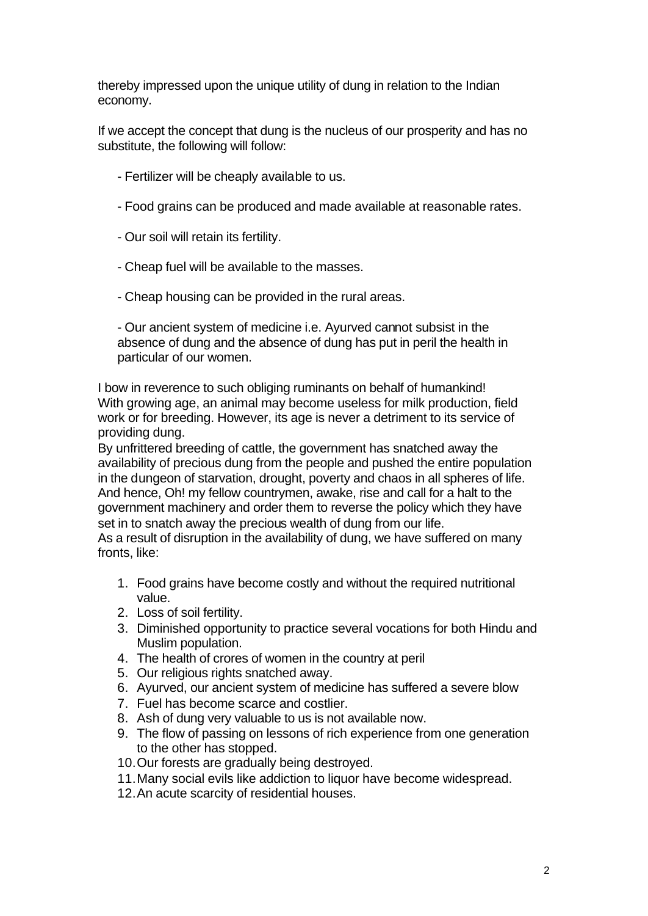thereby impressed upon the unique utility of dung in relation to the Indian economy.

If we accept the concept that dung is the nucleus of our prosperity and has no substitute, the following will follow:

- Fertilizer will be cheaply available to us.
- Food grains can be produced and made available at reasonable rates.
- Our soil will retain its fertility.
- Cheap fuel will be available to the masses.
- Cheap housing can be provided in the rural areas.

- Our ancient system of medicine i.e. Ayurved cannot subsist in the absence of dung and the absence of dung has put in peril the health in particular of our women.

I bow in reverence to such obliging ruminants on behalf of humankind! With growing age, an animal may become useless for milk production, field work or for breeding. However, its age is never a detriment to its service of providing dung.

By unfrittered breeding of cattle, the government has snatched away the availability of precious dung from the people and pushed the entire population in the dungeon of starvation, drought, poverty and chaos in all spheres of life. And hence, Oh! my fellow countrymen, awake, rise and call for a halt to the government machinery and order them to reverse the policy which they have set in to snatch away the precious wealth of dung from our life.

As a result of disruption in the availability of dung, we have suffered on many fronts, like:

- 1. Food grains have become costly and without the required nutritional value.
- 2. Loss of soil fertility.
- 3. Diminished opportunity to practice several vocations for both Hindu and Muslim population.
- 4. The health of crores of women in the country at peril
- 5. Our religious rights snatched away.
- 6. Ayurved, our ancient system of medicine has suffered a severe blow
- 7. Fuel has become scarce and costlier.
- 8. Ash of dung very valuable to us is not available now.
- 9. The flow of passing on lessons of rich experience from one generation to the other has stopped.
- 10.Our forests are gradually being destroyed.
- 11.Many social evils like addiction to liquor have become widespread.
- 12.An acute scarcity of residential houses.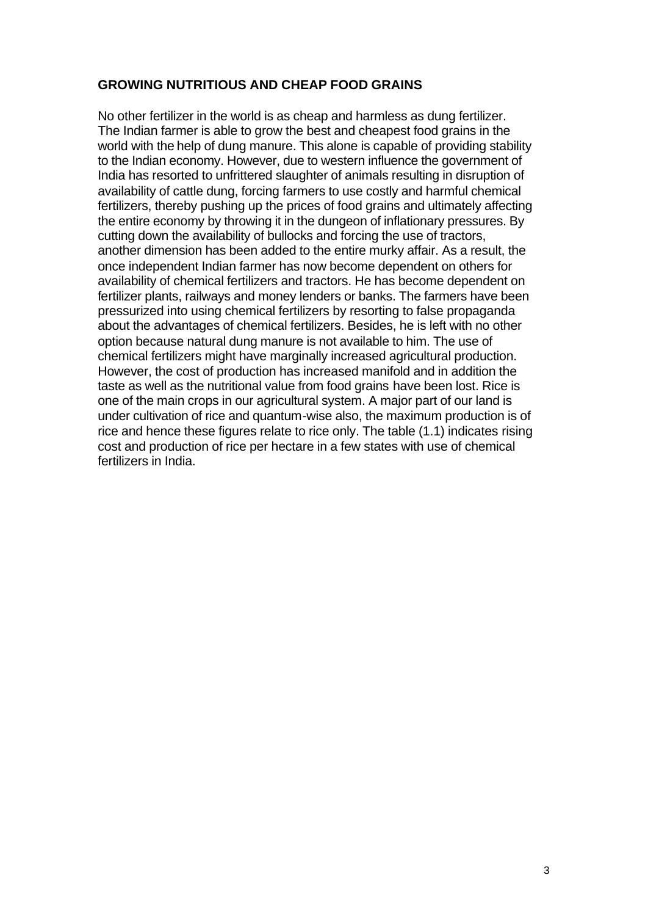# **GROWING NUTRITIOUS AND CHEAP FOOD GRAINS**

No other fertilizer in the world is as cheap and harmless as dung fertilizer. The Indian farmer is able to grow the best and cheapest food grains in the world with the help of dung manure. This alone is capable of providing stability to the Indian economy. However, due to western influence the government of India has resorted to unfrittered slaughter of animals resulting in disruption of availability of cattle dung, forcing farmers to use costly and harmful chemical fertilizers, thereby pushing up the prices of food grains and ultimately affecting the entire economy by throwing it in the dungeon of inflationary pressures. By cutting down the availability of bullocks and forcing the use of tractors, another dimension has been added to the entire murky affair. As a result, the once independent Indian farmer has now become dependent on others for availability of chemical fertilizers and tractors. He has become dependent on fertilizer plants, railways and money lenders or banks. The farmers have been pressurized into using chemical fertilizers by resorting to false propaganda about the advantages of chemical fertilizers. Besides, he is left with no other option because natural dung manure is not available to him. The use of chemical fertilizers might have marginally increased agricultural production. However, the cost of production has increased manifold and in addition the taste as well as the nutritional value from food grains have been lost. Rice is one of the main crops in our agricultural system. A major part of our land is under cultivation of rice and quantum-wise also, the maximum production is of rice and hence these figures relate to rice only. The table (1.1) indicates rising cost and production of rice per hectare in a few states with use of chemical fertilizers in India.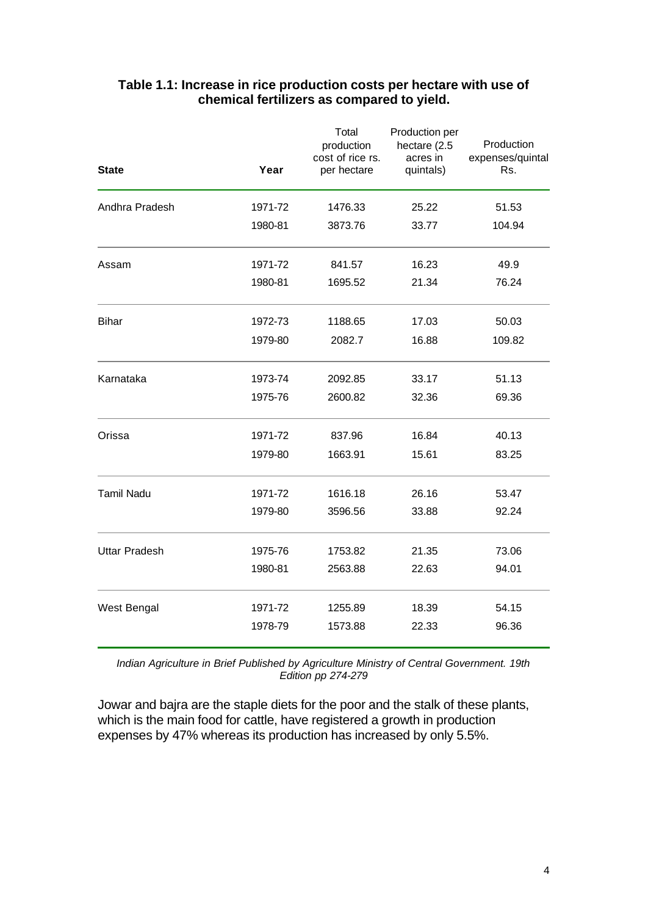| <b>State</b>         | Year    | Total<br>production<br>cost of rice rs.<br>per hectare | Production per<br>hectare (2.5<br>acres in<br>quintals) | Production<br>expenses/quintal<br>Rs. |
|----------------------|---------|--------------------------------------------------------|---------------------------------------------------------|---------------------------------------|
| Andhra Pradesh       | 1971-72 | 1476.33                                                | 25.22                                                   | 51.53                                 |
|                      | 1980-81 | 3873.76                                                | 33.77                                                   | 104.94                                |
| Assam                | 1971-72 | 841.57                                                 | 16.23                                                   | 49.9                                  |
|                      | 1980-81 | 1695.52                                                | 21.34                                                   | 76.24                                 |
| <b>Bihar</b>         | 1972-73 | 1188.65                                                | 17.03                                                   | 50.03                                 |
|                      | 1979-80 | 2082.7                                                 | 16.88                                                   | 109.82                                |
| Karnataka            | 1973-74 | 2092.85                                                | 33.17                                                   | 51.13                                 |
|                      | 1975-76 | 2600.82                                                | 32.36                                                   | 69.36                                 |
| Orissa               | 1971-72 | 837.96                                                 | 16.84                                                   | 40.13                                 |
|                      | 1979-80 | 1663.91                                                | 15.61                                                   | 83.25                                 |
| <b>Tamil Nadu</b>    | 1971-72 | 1616.18                                                | 26.16                                                   | 53.47                                 |
|                      | 1979-80 | 3596.56                                                | 33.88                                                   | 92.24                                 |
| <b>Uttar Pradesh</b> | 1975-76 | 1753.82                                                | 21.35                                                   | 73.06                                 |
|                      | 1980-81 | 2563.88                                                | 22.63                                                   | 94.01                                 |
| West Bengal          | 1971-72 | 1255.89                                                | 18.39                                                   | 54.15                                 |
|                      | 1978-79 | 1573.88                                                | 22.33                                                   | 96.36                                 |

# **Table 1.1: Increase in rice production costs per hectare with use of chemical fertilizers as compared to yield.**

*Indian Agriculture in Brief Published by Agriculture Ministry of Central Government. 19th Edition pp 274-279*

Jowar and bajra are the staple diets for the poor and the stalk of these plants, which is the main food for cattle, have registered a growth in production expenses by 47% whereas its production has increased by only 5.5%.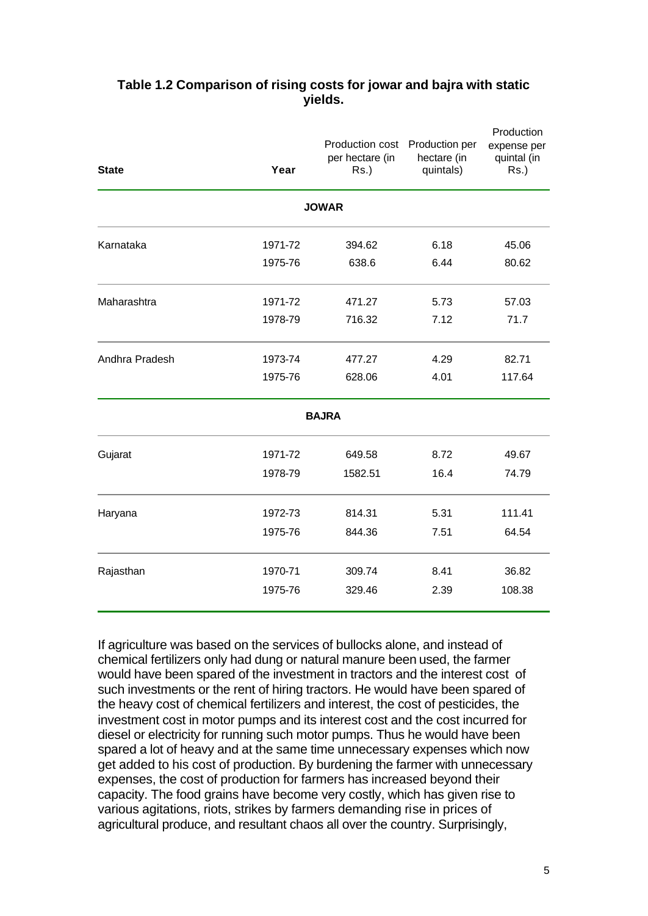| <b>State</b>   | Year    | Production cost<br>per hectare (in<br>$Rs.$ ) | Production per<br>hectare (in<br>quintals) | Production<br>expense per<br>quintal (in<br>$Rs.$ ) |
|----------------|---------|-----------------------------------------------|--------------------------------------------|-----------------------------------------------------|
|                |         | <b>JOWAR</b>                                  |                                            |                                                     |
| Karnataka      | 1971-72 | 394.62                                        | 6.18                                       | 45.06                                               |
|                | 1975-76 | 638.6                                         | 6.44                                       | 80.62                                               |
| Maharashtra    | 1971-72 | 471.27                                        | 5.73                                       | 57.03                                               |
|                | 1978-79 | 716.32                                        | 7.12                                       | 71.7                                                |
| Andhra Pradesh | 1973-74 | 477.27                                        | 4.29                                       | 82.71                                               |
|                | 1975-76 | 628.06                                        | 4.01                                       | 117.64                                              |
|                |         | <b>BAJRA</b>                                  |                                            |                                                     |
| Gujarat        | 1971-72 | 649.58                                        | 8.72                                       | 49.67                                               |
|                | 1978-79 | 1582.51                                       | 16.4                                       | 74.79                                               |
| Haryana        | 1972-73 | 814.31                                        | 5.31                                       | 111.41                                              |
|                | 1975-76 | 844.36                                        | 7.51                                       | 64.54                                               |
| Rajasthan      | 1970-71 | 309.74                                        | 8.41                                       | 36.82                                               |
|                | 1975-76 | 329.46                                        | 2.39                                       | 108.38                                              |

# **Table 1.2 Comparison of rising costs for jowar and bajra with static yields.**

If agriculture was based on the services of bullocks alone, and instead of chemical fertilizers only had dung or natural manure been used, the farmer would have been spared of the investment in tractors and the interest cost of such investments or the rent of hiring tractors. He would have been spared of the heavy cost of chemical fertilizers and interest, the cost of pesticides, the investment cost in motor pumps and its interest cost and the cost incurred for diesel or electricity for running such motor pumps. Thus he would have been spared a lot of heavy and at the same time unnecessary expenses which now get added to his cost of production. By burdening the farmer with unnecessary expenses, the cost of production for farmers has increased beyond their capacity. The food grains have become very costly, which has given rise to various agitations, riots, strikes by farmers demanding rise in prices of agricultural produce, and resultant chaos all over the country. Surprisingly,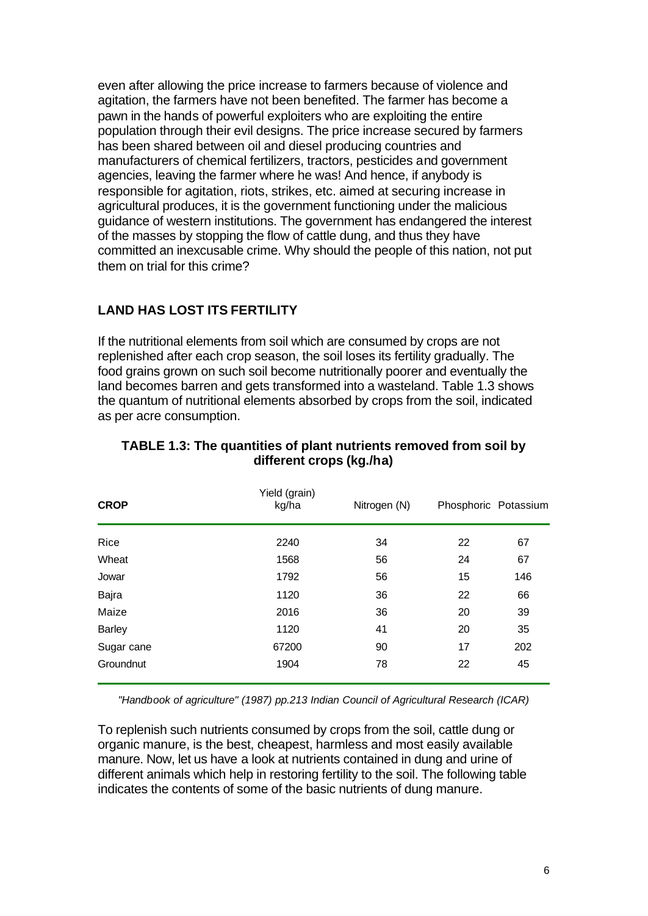even after allowing the price increase to farmers because of violence and agitation, the farmers have not been benefited. The farmer has become a pawn in the hands of powerful exploiters who are exploiting the entire population through their evil designs. The price increase secured by farmers has been shared between oil and diesel producing countries and manufacturers of chemical fertilizers, tractors, pesticides and government agencies, leaving the farmer where he was! And hence, if anybody is responsible for agitation, riots, strikes, etc. aimed at securing increase in agricultural produces, it is the government functioning under the malicious guidance of western institutions. The government has endangered the interest of the masses by stopping the flow of cattle dung, and thus they have committed an inexcusable crime. Why should the people of this nation, not put them on trial for this crime?

# **LAND HAS LOST ITS FERTILITY**

If the nutritional elements from soil which are consumed by crops are not replenished after each crop season, the soil loses its fertility gradually. The food grains grown on such soil become nutritionally poorer and eventually the land becomes barren and gets transformed into a wasteland. Table 1.3 shows the quantum of nutritional elements absorbed by crops from the soil, indicated as per acre consumption.

| <b>CROP</b>   | Yield (grain)<br>kg/ha | Nitrogen (N) | Phosphoric Potassium |     |
|---------------|------------------------|--------------|----------------------|-----|
| Rice          | 2240                   | 34           | 22                   | 67  |
| Wheat         | 1568                   | 56           | 24                   | 67  |
| Jowar         | 1792                   | 56           | 15                   | 146 |
| Bajra         | 1120                   | 36           | 22                   | 66  |
| Maize         | 2016                   | 36           | 20                   | 39  |
| <b>Barley</b> | 1120                   | 41           | 20                   | 35  |
| Sugar cane    | 67200                  | 90           | 17                   | 202 |
| Groundnut     | 1904                   | 78           | 22                   | 45  |

# **TABLE 1.3: The quantities of plant nutrients removed from soil by different crops (kg./ha)**

*"Handbook of agriculture" (1987) pp.213 Indian Council of Agricultural Research (ICAR)*

To replenish such nutrients consumed by crops from the soil, cattle dung or organic manure, is the best, cheapest, harmless and most easily available manure. Now, let us have a look at nutrients contained in dung and urine of different animals which help in restoring fertility to the soil. The following table indicates the contents of some of the basic nutrients of dung manure.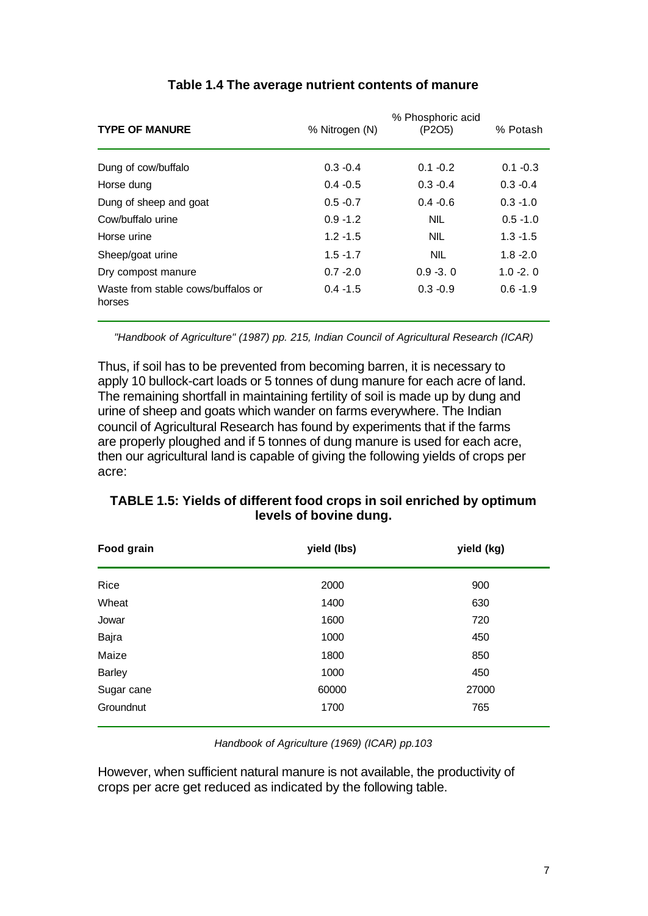| <b>TYPE OF MANURE</b>                        | % Nitrogen (N) | % Phosphoric acid<br>(P2O5) | % Potash    |
|----------------------------------------------|----------------|-----------------------------|-------------|
| Dung of cow/buffalo                          | $0.3 - 0.4$    | $0.1 - 0.2$                 | $0.1 - 0.3$ |
| Horse dung                                   | $0.4 - 0.5$    | $0.3 - 0.4$                 | $0.3 - 0.4$ |
| Dung of sheep and goat                       | $0.5 - 0.7$    | $0.4 - 0.6$                 | $0.3 - 1.0$ |
| Cow/buffalo urine                            | $0.9 - 1.2$    | <b>NIL</b>                  | $0.5 - 1.0$ |
| Horse urine                                  | $1.2 - 1.5$    | <b>NIL</b>                  | $1.3 - 1.5$ |
| Sheep/goat urine                             | $1.5 - 1.7$    | <b>NIL</b>                  | $1.8 - 2.0$ |
| Dry compost manure                           | $0.7 - 2.0$    | $0.9 - 3.0$                 | $1.0 - 2.0$ |
| Waste from stable cows/buffalos or<br>horses | $0.4 - 1.5$    | $0.3 - 0.9$                 | $0.6 - 1.9$ |

# **Table 1.4 The average nutrient contents of manure**

*"Handbook of Agriculture" (1987) pp. 215, Indian Council of Agricultural Research (ICAR)*

Thus, if soil has to be prevented from becoming barren, it is necessary to apply 10 bullock-cart loads or 5 tonnes of dung manure for each acre of land. The remaining shortfall in maintaining fertility of soil is made up by dung and urine of sheep and goats which wander on farms everywhere. The Indian council of Agricultural Research has found by experiments that if the farms are properly ploughed and if 5 tonnes of dung manure is used for each acre, then our agricultural land is capable of giving the following yields of crops per acre:

| Food grain    | yield (lbs) | yield (kg) |
|---------------|-------------|------------|
| Rice          | 2000        | 900        |
| Wheat         | 1400        | 630        |
| Jowar         | 1600        | 720        |
| Bajra         | 1000        | 450        |
| Maize         | 1800        | 850        |
| <b>Barley</b> | 1000        | 450        |
| Sugar cane    | 60000       | 27000      |
| Groundnut     | 1700        | 765        |

# **TABLE 1.5: Yields of different food crops in soil enriched by optimum levels of bovine dung.**

*Handbook of Agriculture (1969) (ICAR) pp.103*

However, when sufficient natural manure is not available, the productivity of crops per acre get reduced as indicated by the following table.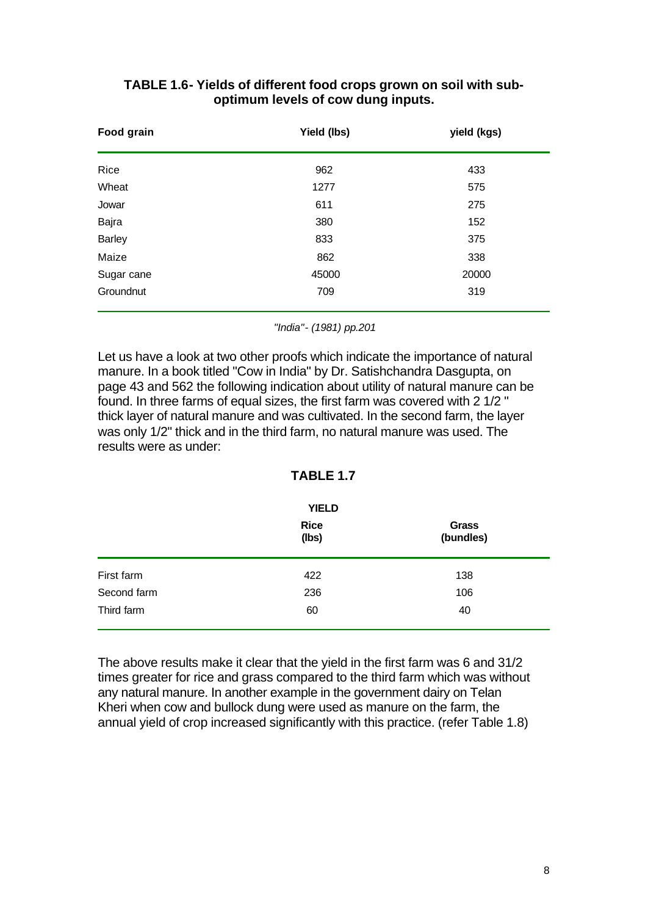| Food grain    | Yield (lbs) | yield (kgs) |  |
|---------------|-------------|-------------|--|
| Rice          | 962         | 433         |  |
| Wheat         | 1277        | 575         |  |
| Jowar         | 611         | 275         |  |
| Bajra         | 380         | 152         |  |
| <b>Barley</b> | 833         | 375         |  |
| Maize         | 862         | 338         |  |
| Sugar cane    | 45000       | 20000       |  |
| Groundnut     | 709         | 319         |  |

# **TABLE 1.6- Yields of different food crops grown on soil with suboptimum levels of cow dung inputs.**

*"India"- (1981) pp.201*

Let us have a look at two other proofs which indicate the importance of natural manure. In a book titled "Cow in India" by Dr. Satishchandra Dasgupta, on page 43 and 562 the following indication about utility of natural manure can be found. In three farms of equal sizes, the first farm was covered with 2 1/2 " thick layer of natural manure and was cultivated. In the second farm, the layer was only 1/2" thick and in the third farm, no natural manure was used. The results were as under:

# **TABLE 1.7**

|             | <b>YIELD</b>         |                    |
|-------------|----------------------|--------------------|
|             | <b>Rice</b><br>(lbs) | Grass<br>(bundles) |
| First farm  | 422                  | 138                |
| Second farm | 236                  | 106                |
| Third farm  | 60                   | 40                 |

The above results make it clear that the yield in the first farm was 6 and 31/2 times greater for rice and grass compared to the third farm which was without any natural manure. In another example in the government dairy on Telan Kheri when cow and bullock dung were used as manure on the farm, the annual yield of crop increased significantly with this practice. (refer Table 1.8)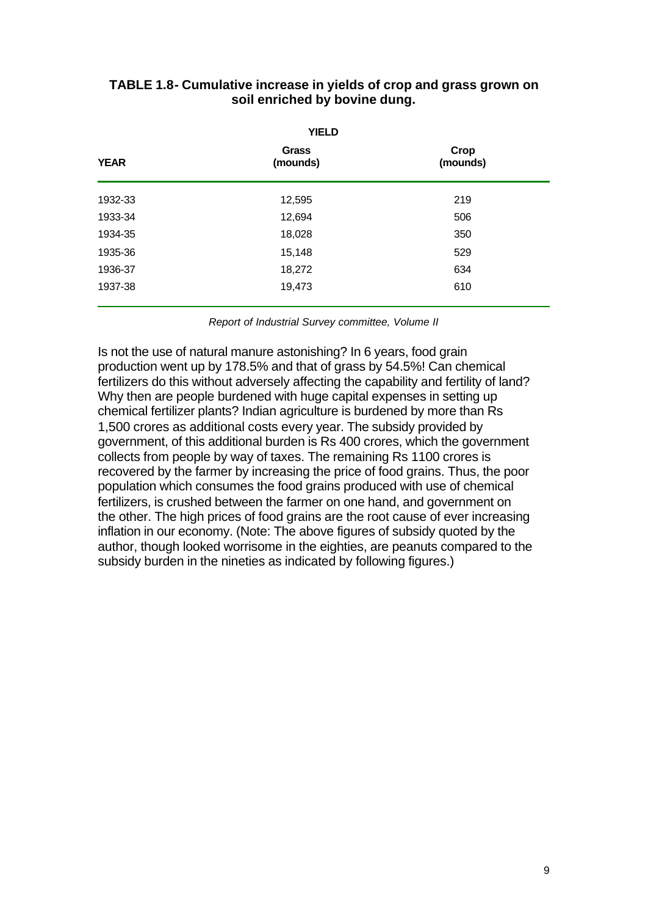| <b>YIELD</b> |                   |                  |  |  |
|--------------|-------------------|------------------|--|--|
| <b>YEAR</b>  | Grass<br>(mounds) | Crop<br>(mounds) |  |  |
| 1932-33      | 12,595            | 219              |  |  |
| 1933-34      | 12,694            | 506              |  |  |
| 1934-35      | 18,028            | 350              |  |  |
| 1935-36      | 15,148            | 529              |  |  |
| 1936-37      | 18,272            | 634              |  |  |
| 1937-38      | 19,473            | 610              |  |  |

# **TABLE 1.8- Cumulative increase in yields of crop and grass grown on soil enriched by bovine dung.**

*Report of Industrial Survey committee, Volume II*

Is not the use of natural manure astonishing? In 6 years, food grain production went up by 178.5% and that of grass by 54.5%! Can chemical fertilizers do this without adversely affecting the capability and fertility of land? Why then are people burdened with huge capital expenses in setting up chemical fertilizer plants? Indian agriculture is burdened by more than Rs 1,500 crores as additional costs every year. The subsidy provided by government, of this additional burden is Rs 400 crores, which the government collects from people by way of taxes. The remaining Rs 1100 crores is recovered by the farmer by increasing the price of food grains. Thus, the poor population which consumes the food grains produced with use of chemical fertilizers, is crushed between the farmer on one hand, and government on the other. The high prices of food grains are the root cause of ever increasing inflation in our economy. (Note: The above figures of subsidy quoted by the author, though looked worrisome in the eighties, are peanuts compared to the subsidy burden in the nineties as indicated by following figures.)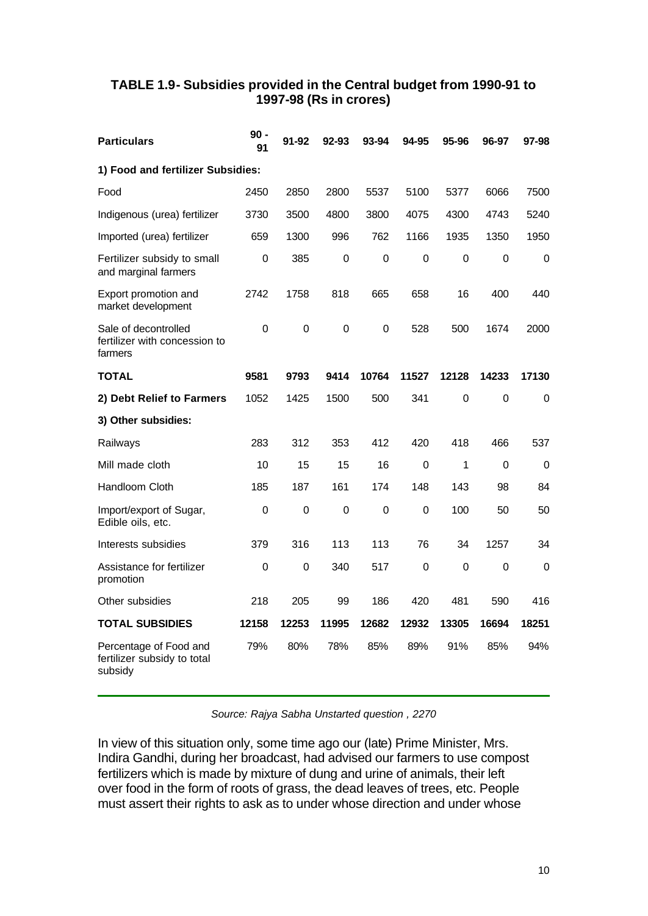# **TABLE 1.9- Subsidies provided in the Central budget from 1990-91 to 1997-98 (Rs in crores)**

| <b>Particulars</b>                                               | $90 -$<br>91 | 91-92     | 92-93       | 93-94       | 94-95       | 95-96          | 96-97       | 97-98       |
|------------------------------------------------------------------|--------------|-----------|-------------|-------------|-------------|----------------|-------------|-------------|
| 1) Food and fertilizer Subsidies:                                |              |           |             |             |             |                |             |             |
| Food                                                             | 2450         | 2850      | 2800        | 5537        | 5100        | 5377           | 6066        | 7500        |
| Indigenous (urea) fertilizer                                     | 3730         | 3500      | 4800        | 3800        | 4075        | 4300           | 4743        | 5240        |
| Imported (urea) fertilizer                                       | 659          | 1300      | 996         | 762         | 1166        | 1935           | 1350        | 1950        |
| Fertilizer subsidy to small<br>and marginal farmers              | 0            | 385       | 0           | 0           | 0           | 0              | 0           | 0           |
| Export promotion and<br>market development                       | 2742         | 1758      | 818         | 665         | 658         | 16             | 400         | 440         |
| Sale of decontrolled<br>fertilizer with concession to<br>farmers | 0            | 0         | $\Omega$    | 0           | 528         | 500            | 1674        | 2000        |
| <b>TOTAL</b>                                                     | 9581         | 9793      | 9414        | 10764       | 11527       | 12128          | 14233       | 17130       |
| 2) Debt Relief to Farmers                                        | 1052         | 1425      | 1500        | 500         | 341         | $\overline{0}$ | $\mathbf 0$ | 0           |
| 3) Other subsidies:                                              |              |           |             |             |             |                |             |             |
| Railways                                                         | 283          | 312       | 353         | 412         | 420         | 418            | 466         | 537         |
| Mill made cloth                                                  | 10           | 15        | 15          | 16          | $\mathbf 0$ | 1              | $\Omega$    | 0           |
| Handloom Cloth                                                   | 185          | 187       | 161         | 174         | 148         | 143            | 98          | 84          |
| Import/export of Sugar,<br>Edible oils, etc.                     | 0            | 0         | $\mathbf 0$ | $\mathbf 0$ | $\mathbf 0$ | 100            | 50          | 50          |
| Interests subsidies                                              | 379          | 316       | 113         | 113         | 76          | 34             | 1257        | 34          |
| Assistance for fertilizer<br>promotion                           | $\mathsf 0$  | $\pmb{0}$ | 340         | 517         | $\mathbf 0$ | 0              | $\mathsf 0$ | $\mathbf 0$ |
| Other subsidies                                                  | 218          | 205       | 99          | 186         | 420         | 481            | 590         | 416         |
| <b>TOTAL SUBSIDIES</b>                                           | 12158        | 12253     | 11995       | 12682       | 12932       | 13305          | 16694       | 18251       |
| Percentage of Food and<br>fertilizer subsidy to total<br>subsidy | 79%          | 80%       | 78%         | 85%         | 89%         | 91%            | 85%         | 94%         |

*Source: Rajya Sabha Unstarted question , 2270*

In view of this situation only, some time ago our (late) Prime Minister, Mrs. Indira Gandhi, during her broadcast, had advised our farmers to use compost fertilizers which is made by mixture of dung and urine of animals, their left over food in the form of roots of grass, the dead leaves of trees, etc. People must assert their rights to ask as to under whose direction and under whose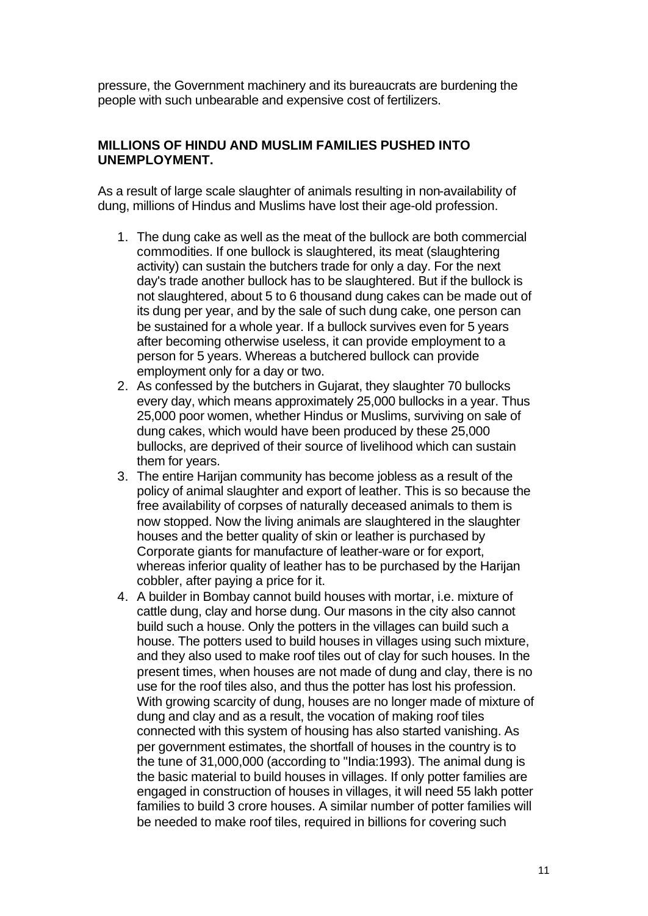pressure, the Government machinery and its bureaucrats are burdening the people with such unbearable and expensive cost of fertilizers.

#### **MILLIONS OF HINDU AND MUSLIM FAMILIES PUSHED INTO UNEMPLOYMENT.**

As a result of large scale slaughter of animals resulting in non-availability of dung, millions of Hindus and Muslims have lost their age-old profession.

- 1. The dung cake as well as the meat of the bullock are both commercial commodities. If one bullock is slaughtered, its meat (slaughtering activity) can sustain the butchers trade for only a day. For the next day's trade another bullock has to be slaughtered. But if the bullock is not slaughtered, about 5 to 6 thousand dung cakes can be made out of its dung per year, and by the sale of such dung cake, one person can be sustained for a whole year. If a bullock survives even for 5 years after becoming otherwise useless, it can provide employment to a person for 5 years. Whereas a butchered bullock can provide employment only for a day or two.
- 2. As confessed by the butchers in Gujarat, they slaughter 70 bullocks every day, which means approximately 25,000 bullocks in a year. Thus 25,000 poor women, whether Hindus or Muslims, surviving on sale of dung cakes, which would have been produced by these 25,000 bullocks, are deprived of their source of livelihood which can sustain them for years.
- 3. The entire Harijan community has become jobless as a result of the policy of animal slaughter and export of leather. This is so because the free availability of corpses of naturally deceased animals to them is now stopped. Now the living animals are slaughtered in the slaughter houses and the better quality of skin or leather is purchased by Corporate giants for manufacture of leather-ware or for export, whereas inferior quality of leather has to be purchased by the Harijan cobbler, after paying a price for it.
- 4. A builder in Bombay cannot build houses with mortar, i.e. mixture of cattle dung, clay and horse dung. Our masons in the city also cannot build such a house. Only the potters in the villages can build such a house. The potters used to build houses in villages using such mixture, and they also used to make roof tiles out of clay for such houses. In the present times, when houses are not made of dung and clay, there is no use for the roof tiles also, and thus the potter has lost his profession. With growing scarcity of dung, houses are no longer made of mixture of dung and clay and as a result, the vocation of making roof tiles connected with this system of housing has also started vanishing. As per government estimates, the shortfall of houses in the country is to the tune of 31,000,000 (according to "India:1993). The animal dung is the basic material to build houses in villages. If only potter families are engaged in construction of houses in villages, it will need 55 lakh potter families to build 3 crore houses. A similar number of potter families will be needed to make roof tiles, required in billions for covering such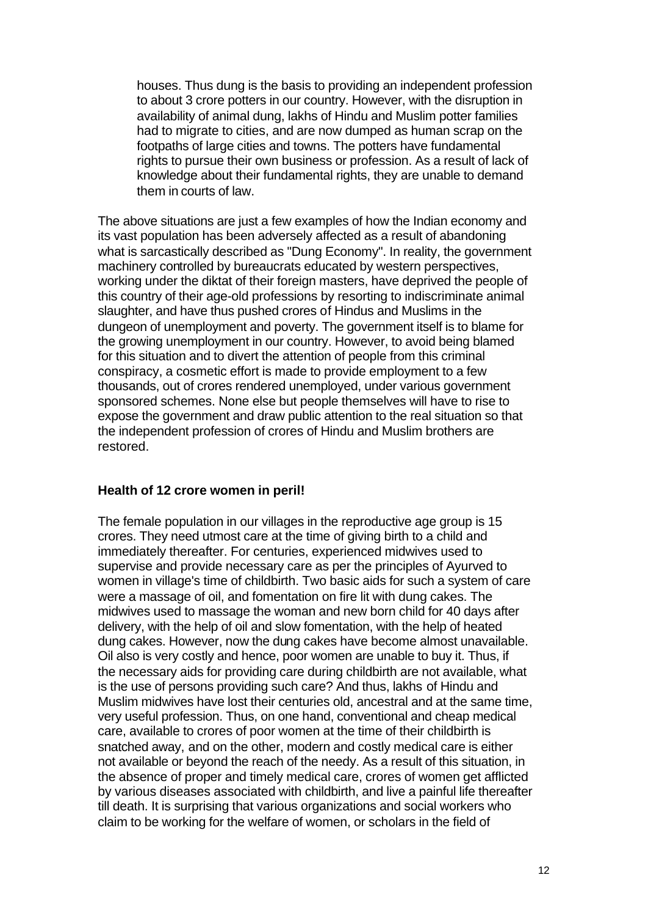houses. Thus dung is the basis to providing an independent profession to about 3 crore potters in our country. However, with the disruption in availability of animal dung, lakhs of Hindu and Muslim potter families had to migrate to cities, and are now dumped as human scrap on the footpaths of large cities and towns. The potters have fundamental rights to pursue their own business or profession. As a result of lack of knowledge about their fundamental rights, they are unable to demand them in courts of law.

The above situations are just a few examples of how the Indian economy and its vast population has been adversely affected as a result of abandoning what is sarcastically described as "Dung Economy". In reality, the government machinery controlled by bureaucrats educated by western perspectives, working under the diktat of their foreign masters, have deprived the people of this country of their age-old professions by resorting to indiscriminate animal slaughter, and have thus pushed crores of Hindus and Muslims in the dungeon of unemployment and poverty. The government itself is to blame for the growing unemployment in our country. However, to avoid being blamed for this situation and to divert the attention of people from this criminal conspiracy, a cosmetic effort is made to provide employment to a few thousands, out of crores rendered unemployed, under various government sponsored schemes. None else but people themselves will have to rise to expose the government and draw public attention to the real situation so that the independent profession of crores of Hindu and Muslim brothers are restored.

### **Health of 12 crore women in peril!**

The female population in our villages in the reproductive age group is 15 crores. They need utmost care at the time of giving birth to a child and immediately thereafter. For centuries, experienced midwives used to supervise and provide necessary care as per the principles of Ayurved to women in village's time of childbirth. Two basic aids for such a system of care were a massage of oil, and fomentation on fire lit with dung cakes. The midwives used to massage the woman and new born child for 40 days after delivery, with the help of oil and slow fomentation, with the help of heated dung cakes. However, now the dung cakes have become almost unavailable. Oil also is very costly and hence, poor women are unable to buy it. Thus, if the necessary aids for providing care during childbirth are not available, what is the use of persons providing such care? And thus, lakhs of Hindu and Muslim midwives have lost their centuries old, ancestral and at the same time, very useful profession. Thus, on one hand, conventional and cheap medical care, available to crores of poor women at the time of their childbirth is snatched away, and on the other, modern and costly medical care is either not available or beyond the reach of the needy. As a result of this situation, in the absence of proper and timely medical care, crores of women get afflicted by various diseases associated with childbirth, and live a painful life thereafter till death. It is surprising that various organizations and social workers who claim to be working for the welfare of women, or scholars in the field of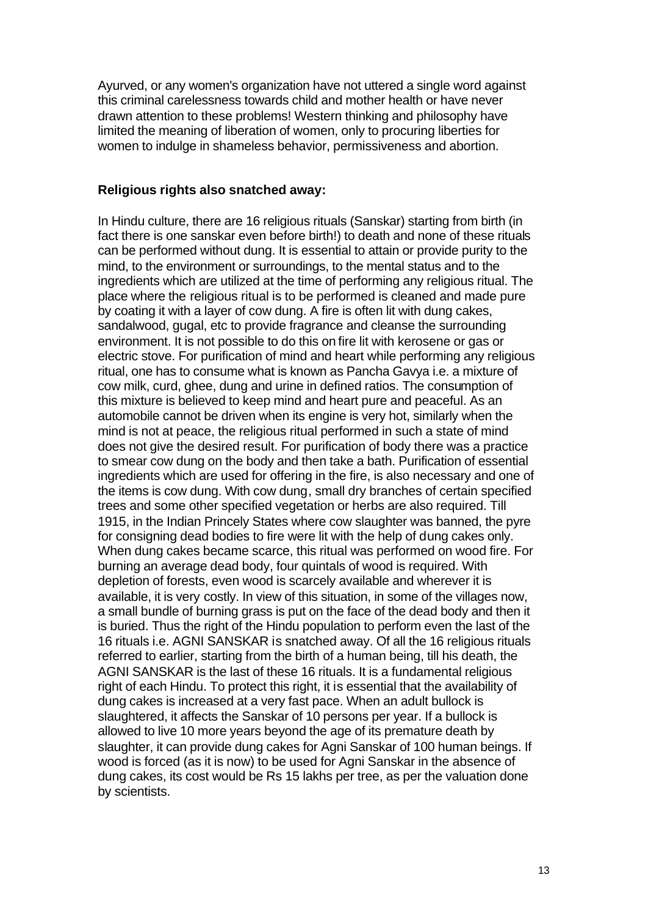Ayurved, or any women's organization have not uttered a single word against this criminal carelessness towards child and mother health or have never drawn attention to these problems! Western thinking and philosophy have limited the meaning of liberation of women, only to procuring liberties for women to indulge in shameless behavior, permissiveness and abortion.

#### **Religious rights also snatched away:**

In Hindu culture, there are 16 religious rituals (Sanskar) starting from birth (in fact there is one sanskar even before birth!) to death and none of these rituals can be performed without dung. It is essential to attain or provide purity to the mind, to the environment or surroundings, to the mental status and to the ingredients which are utilized at the time of performing any religious ritual. The place where the religious ritual is to be performed is cleaned and made pure by coating it with a layer of cow dung. A fire is often lit with dung cakes, sandalwood, gugal, etc to provide fragrance and cleanse the surrounding environment. It is not possible to do this on fire lit with kerosene or gas or electric stove. For purification of mind and heart while performing any religious ritual, one has to consume what is known as Pancha Gavya i.e. a mixture of cow milk, curd, ghee, dung and urine in defined ratios. The consumption of this mixture is believed to keep mind and heart pure and peaceful. As an automobile cannot be driven when its engine is very hot, similarly when the mind is not at peace, the religious ritual performed in such a state of mind does not give the desired result. For purification of body there was a practice to smear cow dung on the body and then take a bath. Purification of essential ingredients which are used for offering in the fire, is also necessary and one of the items is cow dung. With cow dung, small dry branches of certain specified trees and some other specified vegetation or herbs are also required. Till 1915, in the Indian Princely States where cow slaughter was banned, the pyre for consigning dead bodies to fire were lit with the help of dung cakes only. When dung cakes became scarce, this ritual was performed on wood fire. For burning an average dead body, four quintals of wood is required. With depletion of forests, even wood is scarcely available and wherever it is available, it is very costly. In view of this situation, in some of the villages now, a small bundle of burning grass is put on the face of the dead body and then it is buried. Thus the right of the Hindu population to perform even the last of the 16 rituals i.e. AGNI SANSKAR is snatched away. Of all the 16 religious rituals referred to earlier, starting from the birth of a human being, till his death, the AGNI SANSKAR is the last of these 16 rituals. It is a fundamental religious right of each Hindu. To protect this right, it is essential that the availability of dung cakes is increased at a very fast pace. When an adult bullock is slaughtered, it affects the Sanskar of 10 persons per year. If a bullock is allowed to live 10 more years beyond the age of its premature death by slaughter, it can provide dung cakes for Agni Sanskar of 100 human beings. If wood is forced (as it is now) to be used for Agni Sanskar in the absence of dung cakes, its cost would be Rs 15 lakhs per tree, as per the valuation done by scientists.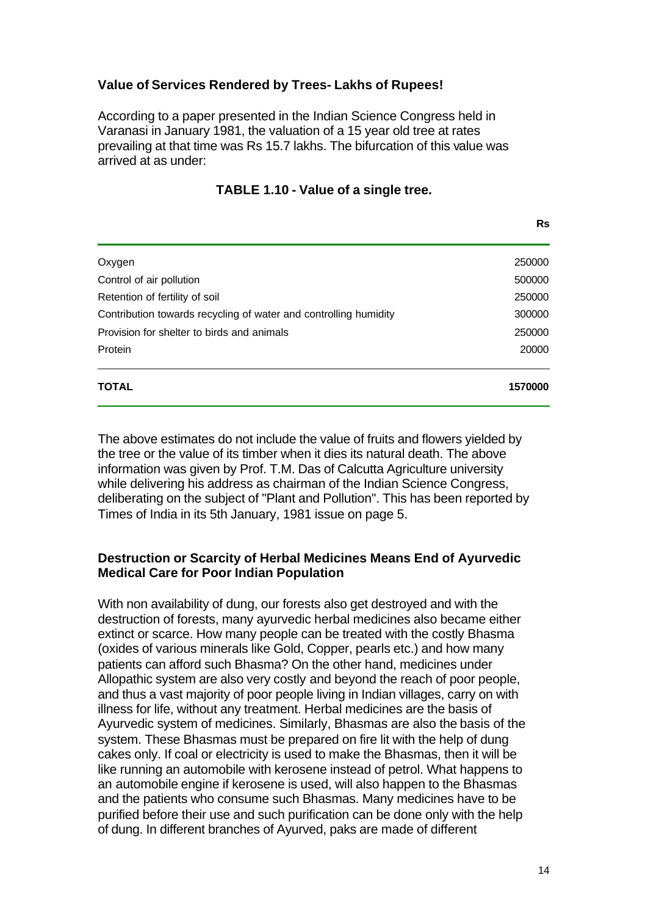# **Value of Services Rendered by Trees- Lakhs of Rupees!**

According to a paper presented in the Indian Science Congress held in Varanasi in January 1981, the valuation of a 15 year old tree at rates prevailing at that time was Rs 15.7 lakhs. The bifurcation of this value was arrived at as under:

| TABLE 1.10 - Value of a single tree. |  |
|--------------------------------------|--|
|--------------------------------------|--|

| <b>TOTAL</b>                                                     | 1570000 |
|------------------------------------------------------------------|---------|
| Protein                                                          | 20000   |
| Provision for shelter to birds and animals                       | 250000  |
| Contribution towards recycling of water and controlling humidity | 300000  |
| Retention of fertility of soil                                   | 250000  |
| Control of air pollution                                         | 500000  |
| Oxygen                                                           | 250000  |

The above estimates do not include the value of fruits and flowers yielded by the tree or the value of its timber when it dies its natural death. The above information was given by Prof. T.M. Das of Calcutta Agriculture university while delivering his address as chairman of the Indian Science Congress, deliberating on the subject of "Plant and Pollution". This has been reported by Times of India in its 5th January, 1981 issue on page 5.

### **Destruction or Scarcity of Herbal Medicines Means End of Ayurvedic Medical Care for Poor Indian Population**

With non availability of dung, our forests also get destroyed and with the destruction of forests, many ayurvedic herbal medicines also became either extinct or scarce. How many people can be treated with the costly Bhasma (oxides of various minerals like Gold, Copper, pearls etc.) and how many patients can afford such Bhasma? On the other hand, medicines under Allopathic system are also very costly and beyond the reach of poor people, and thus a vast majority of poor people living in Indian villages, carry on with illness for life, without any treatment. Herbal medicines are the basis of Ayurvedic system of medicines. Similarly, Bhasmas are also the basis of the system. These Bhasmas must be prepared on fire lit with the help of dung cakes only. If coal or electricity is used to make the Bhasmas, then it will be like running an automobile with kerosene instead of petrol. What happens to an automobile engine if kerosene is used, will also happen to the Bhasmas and the patients who consume such Bhasmas. Many medicines have to be purified before their use and such purification can be done only with the help of dung. In different branches of Ayurved, paks are made of different

**Rs**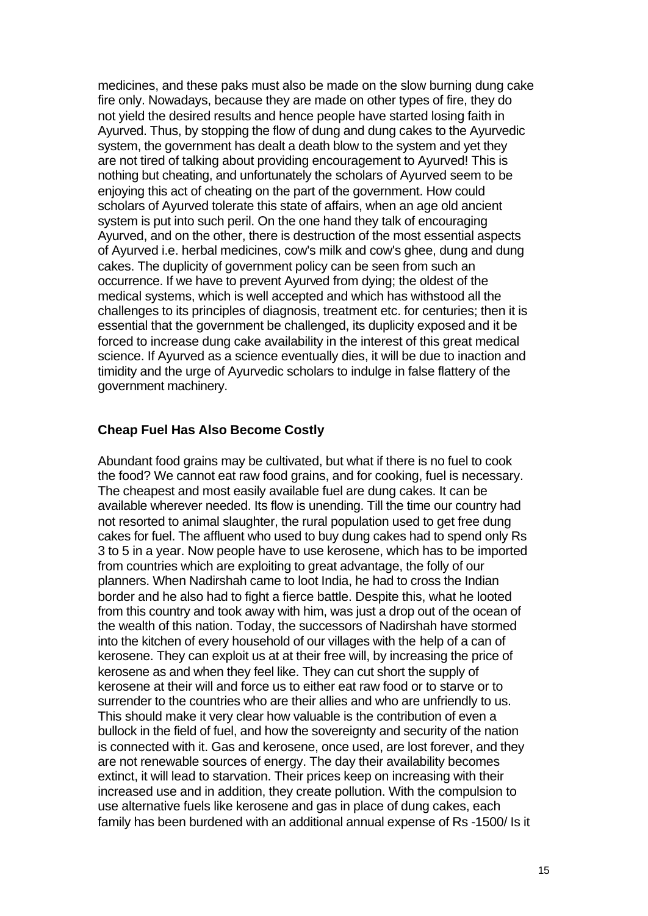medicines, and these paks must also be made on the slow burning dung cake fire only. Nowadays, because they are made on other types of fire, they do not yield the desired results and hence people have started losing faith in Ayurved. Thus, by stopping the flow of dung and dung cakes to the Ayurvedic system, the government has dealt a death blow to the system and yet they are not tired of talking about providing encouragement to Ayurved! This is nothing but cheating, and unfortunately the scholars of Ayurved seem to be enjoying this act of cheating on the part of the government. How could scholars of Ayurved tolerate this state of affairs, when an age old ancient system is put into such peril. On the one hand they talk of encouraging Ayurved, and on the other, there is destruction of the most essential aspects of Ayurved i.e. herbal medicines, cow's milk and cow's ghee, dung and dung cakes. The duplicity of government policy can be seen from such an occurrence. If we have to prevent Ayurved from dying; the oldest of the medical systems, which is well accepted and which has withstood all the challenges to its principles of diagnosis, treatment etc. for centuries; then it is essential that the government be challenged, its duplicity exposed and it be forced to increase dung cake availability in the interest of this great medical science. If Ayurved as a science eventually dies, it will be due to inaction and timidity and the urge of Ayurvedic scholars to indulge in false flattery of the government machinery.

### **Cheap Fuel Has Also Become Costly**

Abundant food grains may be cultivated, but what if there is no fuel to cook the food? We cannot eat raw food grains, and for cooking, fuel is necessary. The cheapest and most easily available fuel are dung cakes. It can be available wherever needed. Its flow is unending. Till the time our country had not resorted to animal slaughter, the rural population used to get free dung cakes for fuel. The affluent who used to buy dung cakes had to spend only Rs 3 to 5 in a year. Now people have to use kerosene, which has to be imported from countries which are exploiting to great advantage, the folly of our planners. When Nadirshah came to loot India, he had to cross the Indian border and he also had to fight a fierce battle. Despite this, what he looted from this country and took away with him, was just a drop out of the ocean of the wealth of this nation. Today, the successors of Nadirshah have stormed into the kitchen of every household of our villages with the help of a can of kerosene. They can exploit us at at their free will, by increasing the price of kerosene as and when they feel like. They can cut short the supply of kerosene at their will and force us to either eat raw food or to starve or to surrender to the countries who are their allies and who are unfriendly to us. This should make it very clear how valuable is the contribution of even a bullock in the field of fuel, and how the sovereignty and security of the nation is connected with it. Gas and kerosene, once used, are lost forever, and they are not renewable sources of energy. The day their availability becomes extinct, it will lead to starvation. Their prices keep on increasing with their increased use and in addition, they create pollution. With the compulsion to use alternative fuels like kerosene and gas in place of dung cakes, each family has been burdened with an additional annual expense of Rs -1500/ Is it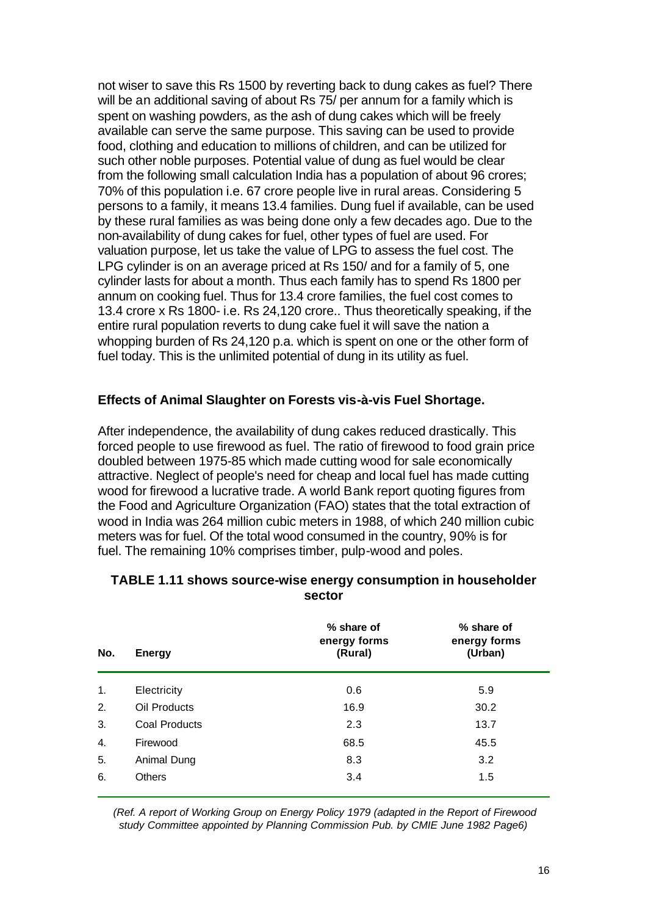not wiser to save this Rs 1500 by reverting back to dung cakes as fuel? There will be an additional saving of about Rs 75/ per annum for a family which is spent on washing powders, as the ash of dung cakes which will be freely available can serve the same purpose. This saving can be used to provide food, clothing and education to millions of children, and can be utilized for such other noble purposes. Potential value of dung as fuel would be clear from the following small calculation India has a population of about 96 crores; 70% of this population i.e. 67 crore people live in rural areas. Considering 5 persons to a family, it means 13.4 families. Dung fuel if available, can be used by these rural families as was being done only a few decades ago. Due to the non-availability of dung cakes for fuel, other types of fuel are used. For valuation purpose, let us take the value of LPG to assess the fuel cost. The LPG cylinder is on an average priced at Rs 150/ and for a family of 5, one cylinder lasts for about a month. Thus each family has to spend Rs 1800 per annum on cooking fuel. Thus for 13.4 crore families, the fuel cost comes to 13.4 crore x Rs 1800- i.e. Rs 24,120 crore.. Thus theoretically speaking, if the entire rural population reverts to dung cake fuel it will save the nation a whopping burden of Rs 24,120 p.a. which is spent on one or the other form of fuel today. This is the unlimited potential of dung in its utility as fuel.

### **Effects of Animal Slaughter on Forests vis-à-vis Fuel Shortage.**

After independence, the availability of dung cakes reduced drastically. This forced people to use firewood as fuel. The ratio of firewood to food grain price doubled between 1975-85 which made cutting wood for sale economically attractive. Neglect of people's need for cheap and local fuel has made cutting wood for firewood a lucrative trade. A world Bank report quoting figures from the Food and Agriculture Organization (FAO) states that the total extraction of wood in India was 264 million cubic meters in 1988, of which 240 million cubic meters was for fuel. Of the total wood consumed in the country, 90% is for fuel. The remaining 10% comprises timber, pulp-wood and poles.

| No. | <b>Energy</b> | % share of<br>energy forms<br>(Rural) | % share of<br>energy forms<br>(Urban) |
|-----|---------------|---------------------------------------|---------------------------------------|
| 1.  | Electricity   | 0.6                                   | 5.9                                   |
| 2.  | Oil Products  | 16.9                                  | 30.2                                  |
| 3.  | Coal Products | 2.3                                   | 13.7                                  |
| 4.  | Firewood      | 68.5                                  | 45.5                                  |
| 5.  | Animal Dung   | 8.3                                   | 3.2                                   |
| 6.  | <b>Others</b> | 3.4                                   | 1.5                                   |

#### **TABLE 1.11 shows source-wise energy consumption in householder sector**

*(Ref. A report of Working Group on Energy Policy 1979 (adapted in the Report of Firewood study Committee appointed by Planning Commission Pub. by CMIE June 1982 Page6)*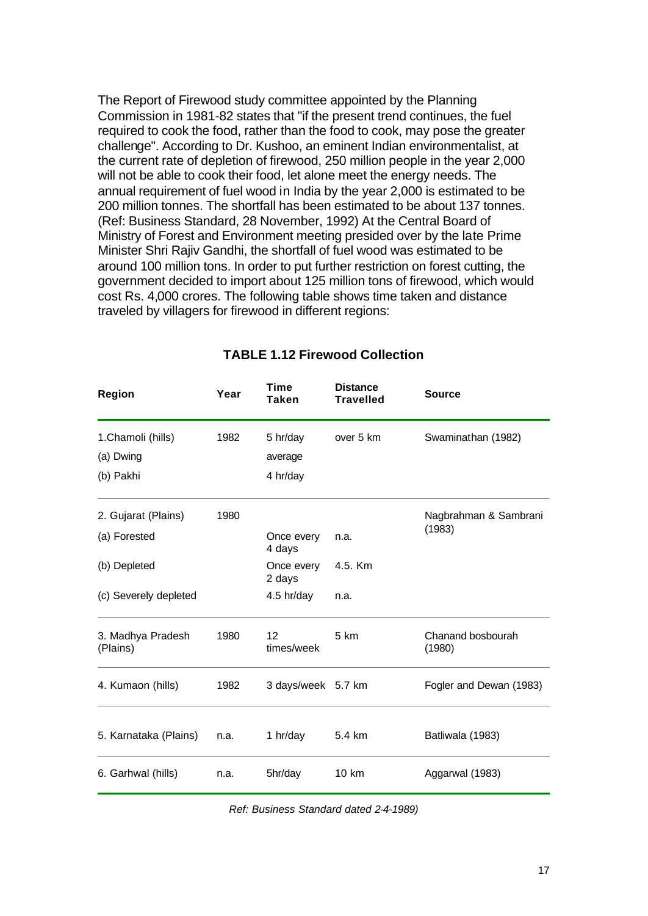The Report of Firewood study committee appointed by the Planning Commission in 1981-82 states that "if the present trend continues, the fuel required to cook the food, rather than the food to cook, may pose the greater challenge". According to Dr. Kushoo, an eminent Indian environmentalist, at the current rate of depletion of firewood, 250 million people in the year 2,000 will not be able to cook their food, let alone meet the energy needs. The annual requirement of fuel wood in India by the year 2,000 is estimated to be 200 million tonnes. The shortfall has been estimated to be about 137 tonnes. (Ref: Business Standard, 28 November, 1992) At the Central Board of Ministry of Forest and Environment meeting presided over by the late Prime Minister Shri Rajiv Gandhi, the shortfall of fuel wood was estimated to be around 100 million tons. In order to put further restriction on forest cutting, the government decided to import about 125 million tons of firewood, which would cost Rs. 4,000 crores. The following table shows time taken and distance traveled by villagers for firewood in different regions:

| Region                        | Year | <b>Time</b><br>Taken          | <b>Distance</b><br><b>Travelled</b> | <b>Source</b>               |  |
|-------------------------------|------|-------------------------------|-------------------------------------|-----------------------------|--|
| 1.Chamoli (hills)             | 1982 | 5 hr/day                      | over 5 km                           | Swaminathan (1982)          |  |
| (a) Dwing                     |      | average                       |                                     |                             |  |
| (b) Pakhi                     |      | 4 hr/day                      |                                     |                             |  |
| 2. Gujarat (Plains)           | 1980 |                               |                                     | Nagbrahman & Sambrani       |  |
| (a) Forested                  |      | Once every<br>4 days          | n.a.                                | (1983)                      |  |
| (b) Depleted                  |      | Once every<br>2 days          | 4.5. Km                             |                             |  |
| (c) Severely depleted         |      | 4.5 hr/day                    | n.a.                                |                             |  |
| 3. Madhya Pradesh<br>(Plains) | 1980 | 12 <sup>2</sup><br>times/week | 5 km                                | Chanand bosbourah<br>(1980) |  |
| 4. Kumaon (hills)             | 1982 | 3 days/week 5.7 km            |                                     | Fogler and Dewan (1983)     |  |
| 5. Karnataka (Plains)         | n.a. | 1 hr/day                      | 5.4 km                              | Batliwala (1983)            |  |
| 6. Garhwal (hills)            | n.a. | 5hr/day                       | 10 km                               | Aggarwal (1983)             |  |

# **TABLE 1.12 Firewood Collection**

*Ref: Business Standard dated 2-4-1989)*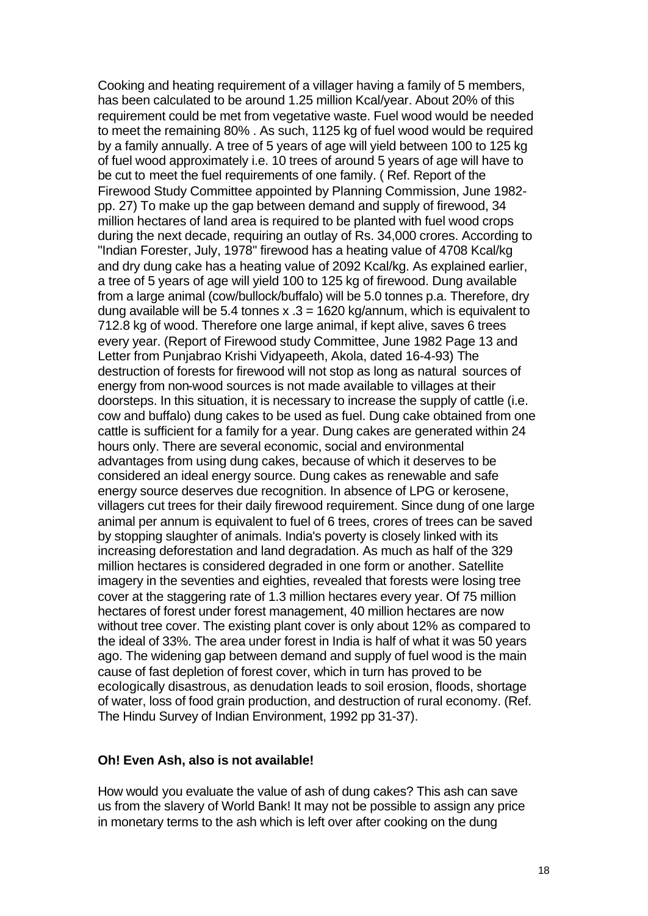Cooking and heating requirement of a villager having a family of 5 members, has been calculated to be around 1.25 million Kcal/year. About 20% of this requirement could be met from vegetative waste. Fuel wood would be needed to meet the remaining 80% . As such, 1125 kg of fuel wood would be required by a family annually. A tree of 5 years of age will yield between 100 to 125 kg of fuel wood approximately i.e. 10 trees of around 5 years of age will have to be cut to meet the fuel requirements of one family. ( Ref. Report of the Firewood Study Committee appointed by Planning Commission, June 1982 pp. 27) To make up the gap between demand and supply of firewood, 34 million hectares of land area is required to be planted with fuel wood crops during the next decade, requiring an outlay of Rs. 34,000 crores. According to "Indian Forester, July, 1978" firewood has a heating value of 4708 Kcal/kg and dry dung cake has a heating value of 2092 Kcal/kg. As explained earlier, a tree of 5 years of age will yield 100 to 125 kg of firewood. Dung available from a large animal (cow/bullock/buffalo) will be 5.0 tonnes p.a. Therefore, dry dung available will be 5.4 tonnes  $x = 3 = 1620$  kg/annum, which is equivalent to 712.8 kg of wood. Therefore one large animal, if kept alive, saves 6 trees every year. (Report of Firewood study Committee, June 1982 Page 13 and Letter from Punjabrao Krishi Vidyapeeth, Akola, dated 16-4-93) The destruction of forests for firewood will not stop as long as natural sources of energy from non-wood sources is not made available to villages at their doorsteps. In this situation, it is necessary to increase the supply of cattle (i.e. cow and buffalo) dung cakes to be used as fuel. Dung cake obtained from one cattle is sufficient for a family for a year. Dung cakes are generated within 24 hours only. There are several economic, social and environmental advantages from using dung cakes, because of which it deserves to be considered an ideal energy source. Dung cakes as renewable and safe energy source deserves due recognition. In absence of LPG or kerosene, villagers cut trees for their daily firewood requirement. Since dung of one large animal per annum is equivalent to fuel of 6 trees, crores of trees can be saved by stopping slaughter of animals. India's poverty is closely linked with its increasing deforestation and land degradation. As much as half of the 329 million hectares is considered degraded in one form or another. Satellite imagery in the seventies and eighties, revealed that forests were losing tree cover at the staggering rate of 1.3 million hectares every year. Of 75 million hectares of forest under forest management, 40 million hectares are now without tree cover. The existing plant cover is only about 12% as compared to the ideal of 33%. The area under forest in India is half of what it was 50 years ago. The widening gap between demand and supply of fuel wood is the main cause of fast depletion of forest cover, which in turn has proved to be ecologically disastrous, as denudation leads to soil erosion, floods, shortage of water, loss of food grain production, and destruction of rural economy. (Ref. The Hindu Survey of Indian Environment, 1992 pp 31-37).

#### **Oh! Even Ash, also is not available!**

How would you evaluate the value of ash of dung cakes? This ash can save us from the slavery of World Bank! It may not be possible to assign any price in monetary terms to the ash which is left over after cooking on the dung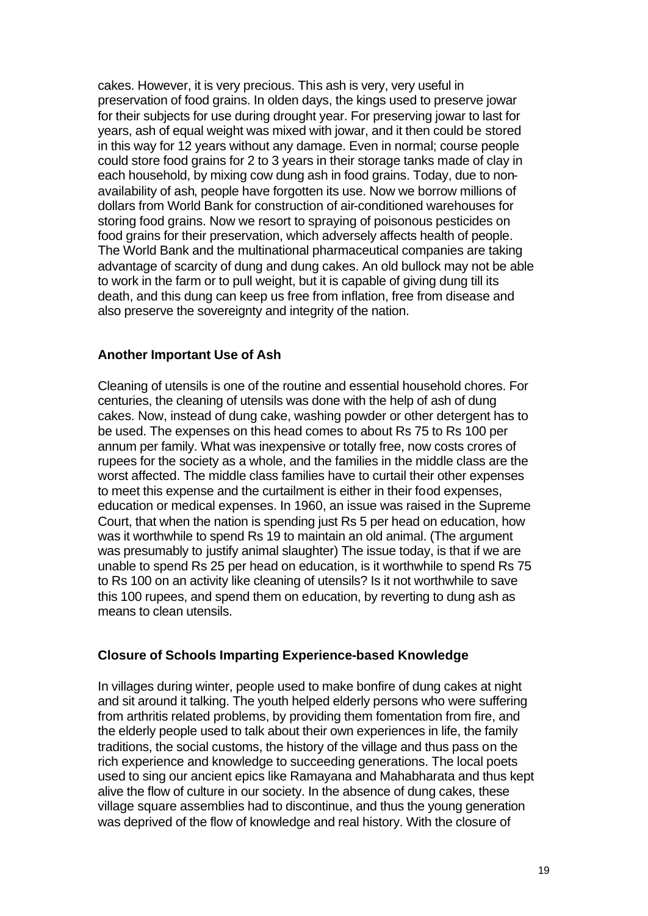cakes. However, it is very precious. This ash is very, very useful in preservation of food grains. In olden days, the kings used to preserve jowar for their subjects for use during drought year. For preserving jowar to last for years, ash of equal weight was mixed with jowar, and it then could be stored in this way for 12 years without any damage. Even in normal; course people could store food grains for 2 to 3 years in their storage tanks made of clay in each household, by mixing cow dung ash in food grains. Today, due to nonavailability of ash, people have forgotten its use. Now we borrow millions of dollars from World Bank for construction of air-conditioned warehouses for storing food grains. Now we resort to spraying of poisonous pesticides on food grains for their preservation, which adversely affects health of people. The World Bank and the multinational pharmaceutical companies are taking advantage of scarcity of dung and dung cakes. An old bullock may not be able to work in the farm or to pull weight, but it is capable of giving dung till its death, and this dung can keep us free from inflation, free from disease and also preserve the sovereignty and integrity of the nation.

# **Another Important Use of Ash**

Cleaning of utensils is one of the routine and essential household chores. For centuries, the cleaning of utensils was done with the help of ash of dung cakes. Now, instead of dung cake, washing powder or other detergent has to be used. The expenses on this head comes to about Rs 75 to Rs 100 per annum per family. What was inexpensive or totally free, now costs crores of rupees for the society as a whole, and the families in the middle class are the worst affected. The middle class families have to curtail their other expenses to meet this expense and the curtailment is either in their food expenses, education or medical expenses. In 1960, an issue was raised in the Supreme Court, that when the nation is spending just Rs 5 per head on education, how was it worthwhile to spend Rs 19 to maintain an old animal. (The argument was presumably to justify animal slaughter) The issue today, is that if we are unable to spend Rs 25 per head on education, is it worthwhile to spend Rs 75 to Rs 100 on an activity like cleaning of utensils? Is it not worthwhile to save this 100 rupees, and spend them on education, by reverting to dung ash as means to clean utensils.

### **Closure of Schools Imparting Experience-based Knowledge**

In villages during winter, people used to make bonfire of dung cakes at night and sit around it talking. The youth helped elderly persons who were suffering from arthritis related problems, by providing them fomentation from fire, and the elderly people used to talk about their own experiences in life, the family traditions, the social customs, the history of the village and thus pass on the rich experience and knowledge to succeeding generations. The local poets used to sing our ancient epics like Ramayana and Mahabharata and thus kept alive the flow of culture in our society. In the absence of dung cakes, these village square assemblies had to discontinue, and thus the young generation was deprived of the flow of knowledge and real history. With the closure of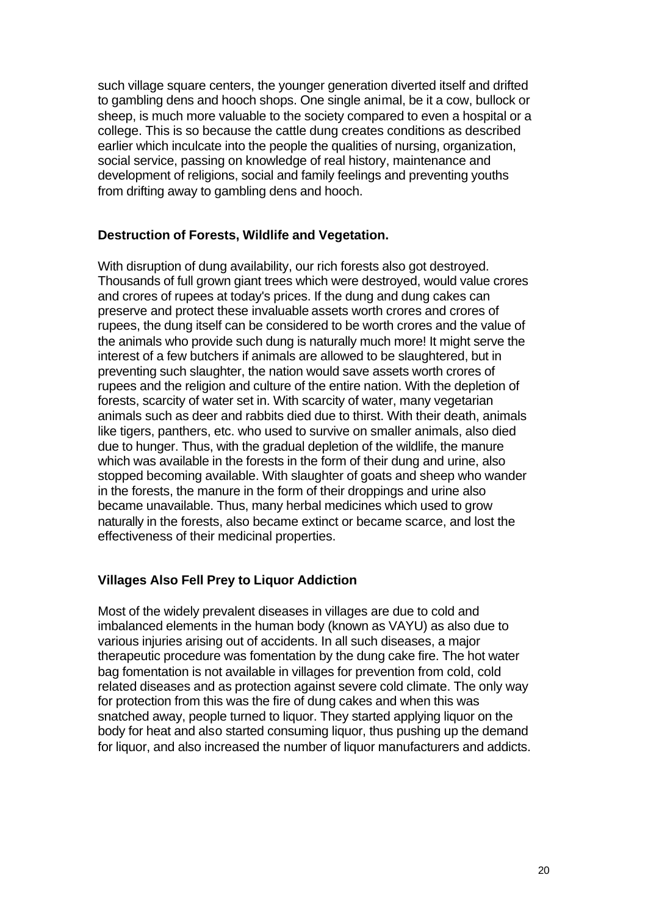such village square centers, the younger generation diverted itself and drifted to gambling dens and hooch shops. One single animal, be it a cow, bullock or sheep, is much more valuable to the society compared to even a hospital or a college. This is so because the cattle dung creates conditions as described earlier which inculcate into the people the qualities of nursing, organization, social service, passing on knowledge of real history, maintenance and development of religions, social and family feelings and preventing youths from drifting away to gambling dens and hooch.

#### **Destruction of Forests, Wildlife and Vegetation.**

With disruption of dung availability, our rich forests also got destroyed. Thousands of full grown giant trees which were destroyed, would value crores and crores of rupees at today's prices. If the dung and dung cakes can preserve and protect these invaluable assets worth crores and crores of rupees, the dung itself can be considered to be worth crores and the value of the animals who provide such dung is naturally much more! It might serve the interest of a few butchers if animals are allowed to be slaughtered, but in preventing such slaughter, the nation would save assets worth crores of rupees and the religion and culture of the entire nation. With the depletion of forests, scarcity of water set in. With scarcity of water, many vegetarian animals such as deer and rabbits died due to thirst. With their death, animals like tigers, panthers, etc. who used to survive on smaller animals, also died due to hunger. Thus, with the gradual depletion of the wildlife, the manure which was available in the forests in the form of their dung and urine, also stopped becoming available. With slaughter of goats and sheep who wander in the forests, the manure in the form of their droppings and urine also became unavailable. Thus, many herbal medicines which used to grow naturally in the forests, also became extinct or became scarce, and lost the effectiveness of their medicinal properties.

### **Villages Also Fell Prey to Liquor Addiction**

Most of the widely prevalent diseases in villages are due to cold and imbalanced elements in the human body (known as VAYU) as also due to various injuries arising out of accidents. In all such diseases, a major therapeutic procedure was fomentation by the dung cake fire. The hot water bag fomentation is not available in villages for prevention from cold, cold related diseases and as protection against severe cold climate. The only way for protection from this was the fire of dung cakes and when this was snatched away, people turned to liquor. They started applying liquor on the body for heat and also started consuming liquor, thus pushing up the demand for liquor, and also increased the number of liquor manufacturers and addicts.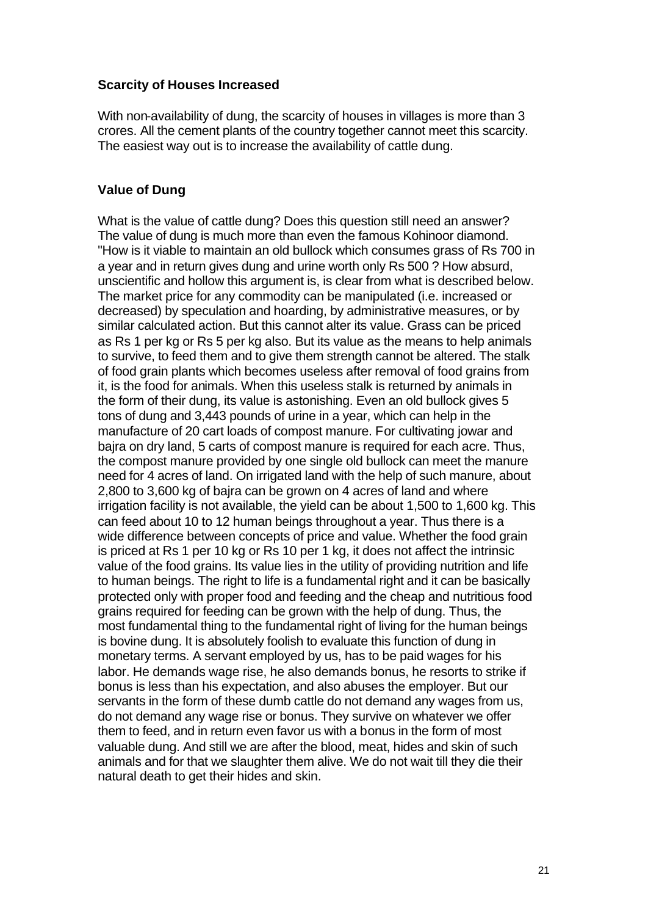#### **Scarcity of Houses Increased**

With non-availability of dung, the scarcity of houses in villages is more than 3 crores. All the cement plants of the country together cannot meet this scarcity. The easiest way out is to increase the availability of cattle dung.

### **Value of Dung**

What is the value of cattle dung? Does this question still need an answer? The value of dung is much more than even the famous Kohinoor diamond. "How is it viable to maintain an old bullock which consumes grass of Rs 700 in a year and in return gives dung and urine worth only Rs 500 ? How absurd, unscientific and hollow this argument is, is clear from what is described below. The market price for any commodity can be manipulated (i.e. increased or decreased) by speculation and hoarding, by administrative measures, or by similar calculated action. But this cannot alter its value. Grass can be priced as Rs 1 per kg or Rs 5 per kg also. But its value as the means to help animals to survive, to feed them and to give them strength cannot be altered. The stalk of food grain plants which becomes useless after removal of food grains from it, is the food for animals. When this useless stalk is returned by animals in the form of their dung, its value is astonishing. Even an old bullock gives 5 tons of dung and 3,443 pounds of urine in a year, which can help in the manufacture of 20 cart loads of compost manure. For cultivating jowar and bajra on dry land, 5 carts of compost manure is required for each acre. Thus, the compost manure provided by one single old bullock can meet the manure need for 4 acres of land. On irrigated land with the help of such manure, about 2,800 to 3,600 kg of bajra can be grown on 4 acres of land and where irrigation facility is not available, the yield can be about 1,500 to 1,600 kg. This can feed about 10 to 12 human beings throughout a year. Thus there is a wide difference between concepts of price and value. Whether the food grain is priced at Rs 1 per 10 kg or Rs 10 per 1 kg, it does not affect the intrinsic value of the food grains. Its value lies in the utility of providing nutrition and life to human beings. The right to life is a fundamental right and it can be basically protected only with proper food and feeding and the cheap and nutritious food grains required for feeding can be grown with the help of dung. Thus, the most fundamental thing to the fundamental right of living for the human beings is bovine dung. It is absolutely foolish to evaluate this function of dung in monetary terms. A servant employed by us, has to be paid wages for his labor. He demands wage rise, he also demands bonus, he resorts to strike if bonus is less than his expectation, and also abuses the employer. But our servants in the form of these dumb cattle do not demand any wages from us, do not demand any wage rise or bonus. They survive on whatever we offer them to feed, and in return even favor us with a bonus in the form of most valuable dung. And still we are after the blood, meat, hides and skin of such animals and for that we slaughter them alive. We do not wait till they die their natural death to get their hides and skin.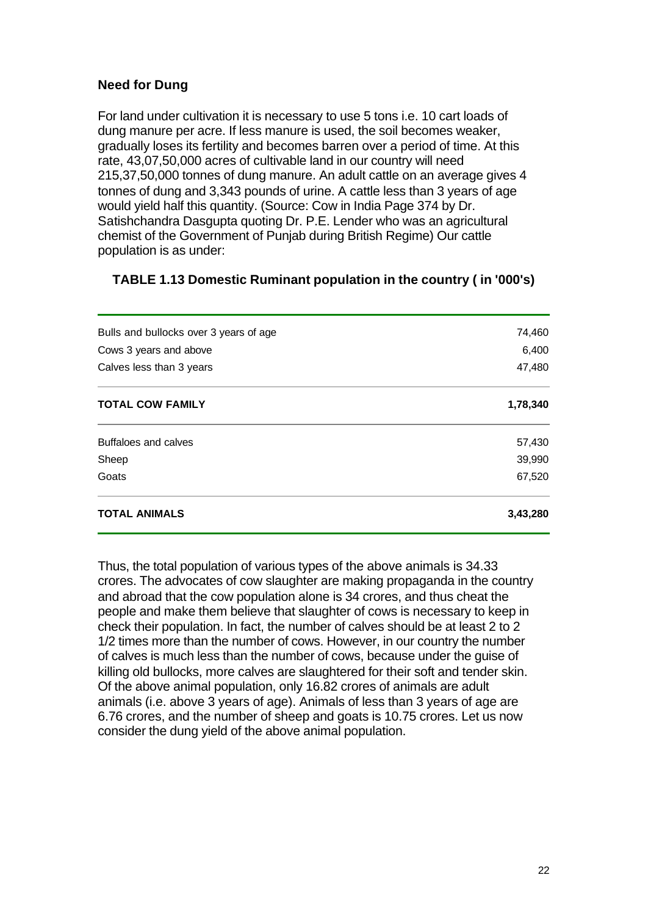# **Need for Dung**

For land under cultivation it is necessary to use 5 tons i.e. 10 cart loads of dung manure per acre. If less manure is used, the soil becomes weaker, gradually loses its fertility and becomes barren over a period of time. At this rate, 43,07,50,000 acres of cultivable land in our country will need 215,37,50,000 tonnes of dung manure. An adult cattle on an average gives 4 tonnes of dung and 3,343 pounds of urine. A cattle less than 3 years of age would yield half this quantity. (Source: Cow in India Page 374 by Dr. Satishchandra Dasgupta quoting Dr. P.E. Lender who was an agricultural chemist of the Government of Punjab during British Regime) Our cattle population is as under:

# **TABLE 1.13 Domestic Ruminant population in the country ( in '000's)**

| <b>TOTAL ANIMALS</b>                   | 3,43,280 |
|----------------------------------------|----------|
| Goats                                  | 67,520   |
| Sheep                                  | 39,990   |
| Buffaloes and calves                   | 57,430   |
| <b>TOTAL COW FAMILY</b>                | 1,78,340 |
| Calves less than 3 years               | 47,480   |
| Cows 3 years and above                 | 6,400    |
| Bulls and bullocks over 3 years of age | 74,460   |
|                                        |          |

Thus, the total population of various types of the above animals is 34.33 crores. The advocates of cow slaughter are making propaganda in the country and abroad that the cow population alone is 34 crores, and thus cheat the people and make them believe that slaughter of cows is necessary to keep in check their population. In fact, the number of calves should be at least 2 to 2 1/2 times more than the number of cows. However, in our country the number of calves is much less than the number of cows, because under the guise of killing old bullocks, more calves are slaughtered for their soft and tender skin. Of the above animal population, only 16.82 crores of animals are adult animals (i.e. above 3 years of age). Animals of less than 3 years of age are 6.76 crores, and the number of sheep and goats is 10.75 crores. Let us now consider the dung yield of the above animal population.